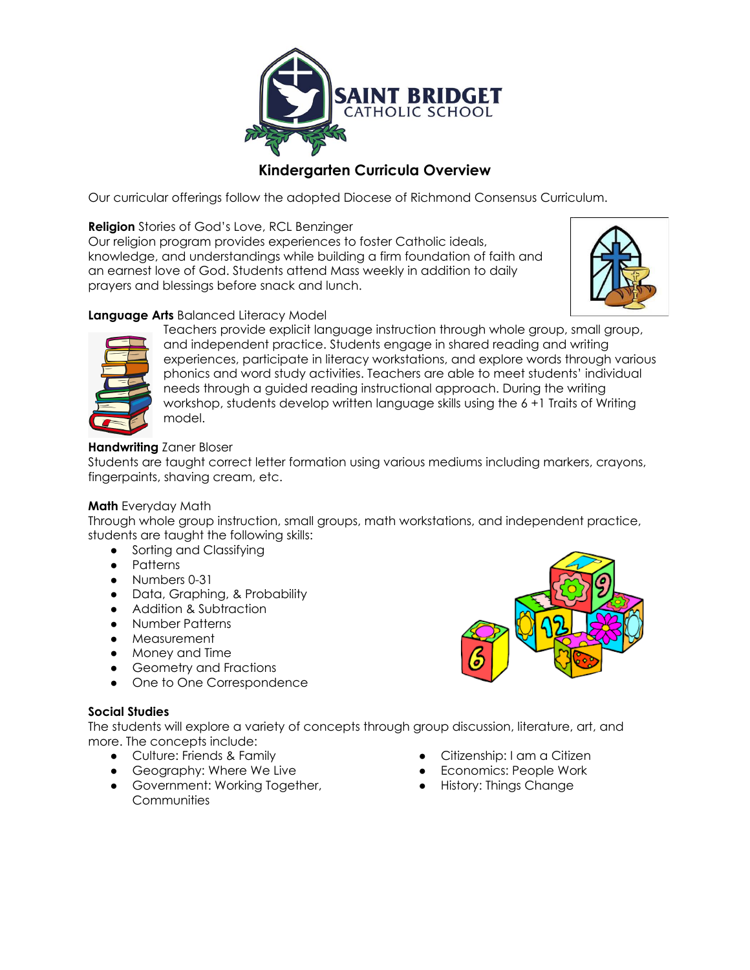

# **Kindergarten Curricula Overview**

Our curricular offerings follow the adopted Diocese of Richmond Consensus Curriculum.

**Religion** Stories of God's Love, RCL Benzinger

Our religion program provides experiences to foster Catholic ideals, knowledge, and understandings while building a firm foundation of faith and an earnest love of God. Students attend Mass weekly in addition to daily prayers and blessings before snack and lunch.



# **Language Arts** Balanced Literacy Model



Teachers provide explicit language instruction through whole group, small group, and independent practice. Students engage in shared reading and writing experiences, participate in literacy workstations, and explore words through various phonics and word study activities. Teachers are able to meet students' individual needs through a guided reading instructional approach. During the writing workshop, students develop written language skills using the 6 +1 Traits of Writing model.

## **Handwriting** Zaner Bloser

Students are taught correct letter formation using various mediums including markers, crayons, fingerpaints, shaving cream, etc.

#### **Math** Everyday Math

Through whole group instruction, small groups, math workstations, and independent practice, students are taught the following skills:

- Sorting and Classifying
- Patterns
- Numbers 0-31
- Data, Graphing, & Probability
- Addition & Subtraction
- Number Patterns
- Measurement
- Money and Time
- Geometry and Fractions
- **●** One to One Correspondence

#### **Social Studies**

The students will explore a variety of concepts through group discussion, literature, art, and more. The concepts include:

- Culture: Friends & Family
- Geography: Where We Live
- Government: Working Together, **Communities**
- Citizenship: I am a Citizen
- **Economics: People Work**
- **●** History: Things Change